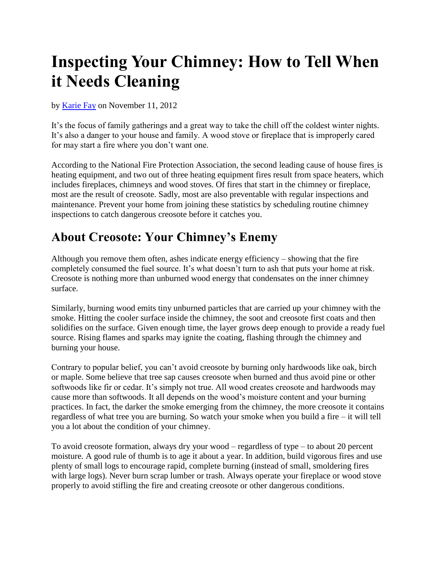## **Inspecting Your Chimney: How to Tell When it Needs Cleaning**

by [Karie Fay](http://www.realestate.com/advice/author/karie-fay/) on November 11, 2012

It's the focus of family gatherings and a great way to take the chill off the coldest winter nights. It's also a danger to your house and family. A wood stove or fireplace that is improperly cared for may start a fire where you don't want one.

According to the National Fire Protection Association, the second leading cause of house fires is heating equipment, and two out of three heating equipment fires result from space heaters, which includes fireplaces, chimneys and wood stoves. Of fires that start in the chimney or fireplace, most are the result of creosote. Sadly, most are also preventable with regular inspections and maintenance. Prevent your home from joining these statistics by scheduling routine chimney inspections to catch dangerous creosote before it catches you.

## **About Creosote: Your Chimney's Enemy**

Although you remove them often, ashes indicate energy efficiency – showing that the fire completely consumed the fuel source. It's what doesn't turn to ash that puts your home at risk. [Creosote](http://www.epa.gov/burnwise/workshop2011/WoodCombustion-Curkeet.pdf) is nothing more than unburned wood energy that condensates on the inner chimney surface.

Similarly, burning wood emits tiny unburned particles that are carried up your chimney with the smoke. Hitting the cooler surface inside the chimney, the soot and creosote first coats and then solidifies on the surface. Given enough time, the layer grows deep enough to provide a ready fuel source. Rising flames and sparks may ignite the coating, flashing through the chimney and burning your house.

Contrary to popular belief, you can't avoid creosote by burning only hardwoods like oak, birch or maple. Some believe that tree sap causes creosote when burned and thus avoid pine or other softwoods like fir or cedar. It's simply not true. All wood creates creosote and [hardwoods may](http://www.sugarhillfd.org/cms/attachments/063_WoodburningSafety10_25_2004c.pdf)  [cause more than softwoods.](http://www.sugarhillfd.org/cms/attachments/063_WoodburningSafety10_25_2004c.pdf) It all depends on the wood's moisture content and your burning practices. In fact, the darker the smoke emerging from the chimney, the more creosote it contains regardless of what tree you are burning. So watch your smoke when you build a fire – it will tell you a lot about the condition of your chimney.

To avoid creosote formation, always dry your wood – regardless of type – to about 20 percent moisture. A good rule of thumb is to age it about a year. In addition, build vigorous fires and use plenty of small logs to encourage rapid, complete burning (instead of small, smoldering fires with large logs). Never burn scrap lumber or trash. Always operate your fireplace or wood stove properly to avoid stifling the fire and creating creosote or other dangerous conditions.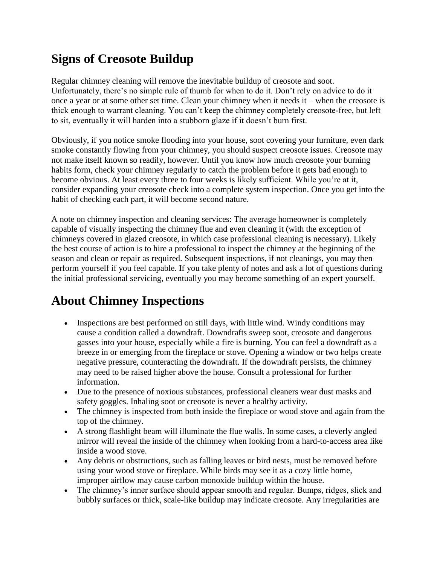## **Signs of Creosote Buildup**

Regular chimney cleaning will remove the inevitable buildup of creosote and soot. Unfortunately, there's no simple rule of thumb for when to do it. Don't rely on advice to do it once a year or at some other set time. Clean your chimney when it needs it – when the creosote is thick enough to warrant cleaning. You can't keep the chimney completely creosote-free, but left to sit, eventually it will harden into a stubborn glaze if it doesn't burn first.

Obviously, if you notice smoke flooding into your house, soot covering your furniture, even dark smoke constantly flowing from your chimney, you should suspect creosote issues. Creosote may not make itself known so readily, however. Until you know how much creosote your burning habits form, check your chimney regularly to catch the problem before it gets bad enough to become obvious. At least every three to four weeks is likely sufficient. While you're at it, consider expanding your creosote check into a complete system inspection. Once you get into the habit of checking each part, it will become second nature.

A note on chimney inspection and cleaning services: The average homeowner is completely capable of visually inspecting the chimney flue and even cleaning it (with the exception of chimneys covered in glazed creosote, in which case professional cleaning is necessary). Likely the best course of action is to hire a professional to inspect the chimney at the beginning of the season and clean or repair as required. Subsequent inspections, if not cleanings, you may then perform yourself if you feel capable. If you take plenty of notes and ask a lot of questions during the initial professional servicing, eventually you may become something of an expert yourself.

## **About Chimney Inspections**

- Inspections are best performed on still days, with little wind. Windy conditions may cause a condition called a downdraft. Downdrafts sweep soot, creosote and dangerous gasses into your house, especially while a fire is burning. You can feel a downdraft as a breeze in or emerging from the fireplace or stove. Opening a window or two helps create negative pressure, counteracting the downdraft. If the downdraft persists, the chimney may need to be raised higher above the house. Consult a professional for further information.
- Due to the presence of noxious substances, professional cleaners wear dust masks and safety goggles. Inhaling soot or creosote is never a healthy activity.
- The chimney is inspected from both inside the fireplace or wood stove and again from the top of the chimney.
- A strong flashlight beam will illuminate the flue walls. In some cases, a cleverly angled mirror will reveal the inside of the chimney when looking from a hard-to-access area like inside a wood stove.
- Any debris or obstructions, such as falling leaves or bird nests, must be removed before using your wood stove or fireplace. While birds may see it as a cozy little home, improper airflow may cause carbon monoxide buildup within the house.
- The chimney's inner surface should appear smooth and regular. Bumps, ridges, slick and bubbly surfaces or thick, scale-like buildup may indicate creosote. Any irregularities are